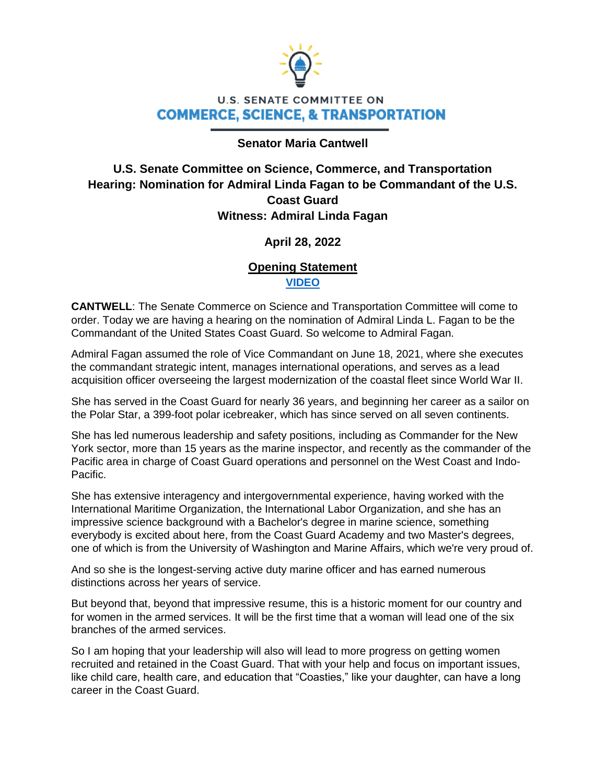

## **U.S. SENATE COMMITTEE ON COMMERCE, SCIENCE, & TRANSPORTATION**

#### **Senator Maria Cantwell**

## **U.S. Senate Committee on Science, Commerce, and Transportation Hearing: Nomination for Admiral Linda Fagan to be Commandant of the U.S. Coast Guard Witness: Admiral Linda Fagan**

### **April 28, 2022**

#### **Opening Statement [VIDEO](https://www.cantwell.senate.gov/imo/media/video/04282022%20Commerce%20-%20Fagan%20Nomination%20Opener.mp4)**

**CANTWELL**: The Senate Commerce on Science and Transportation Committee will come to order. Today we are having a hearing on the nomination of Admiral Linda L. Fagan to be the Commandant of the United States Coast Guard. So welcome to Admiral Fagan.

Admiral Fagan assumed the role of Vice Commandant on June 18, 2021, where she executes the commandant strategic intent, manages international operations, and serves as a lead acquisition officer overseeing the largest modernization of the coastal fleet since World War II.

She has served in the Coast Guard for nearly 36 years, and beginning her career as a sailor on the Polar Star, a 399-foot polar icebreaker, which has since served on all seven continents.

She has led numerous leadership and safety positions, including as Commander for the New York sector, more than 15 years as the marine inspector, and recently as the commander of the Pacific area in charge of Coast Guard operations and personnel on the West Coast and Indo-Pacific.

She has extensive interagency and intergovernmental experience, having worked with the International Maritime Organization, the International Labor Organization, and she has an impressive science background with a Bachelor's degree in marine science, something everybody is excited about here, from the Coast Guard Academy and two Master's degrees, one of which is from the University of Washington and Marine Affairs, which we're very proud of.

And so she is the longest-serving active duty marine officer and has earned numerous distinctions across her years of service.

But beyond that, beyond that impressive resume, this is a historic moment for our country and for women in the armed services. It will be the first time that a woman will lead one of the six branches of the armed services.

So I am hoping that your leadership will also will lead to more progress on getting women recruited and retained in the Coast Guard. That with your help and focus on important issues, like child care, health care, and education that "Coasties," like your daughter, can have a long career in the Coast Guard.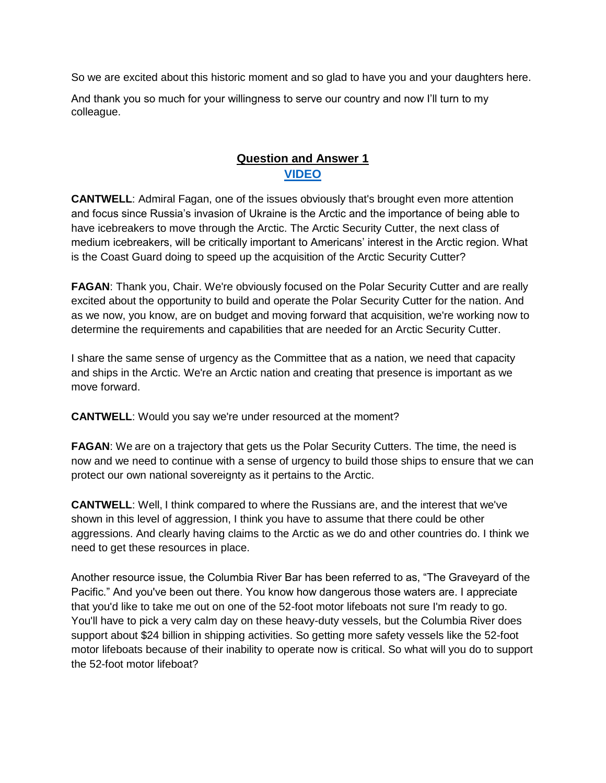So we are excited about this historic moment and so glad to have you and your daughters here.

And thank you so much for your willingness to serve our country and now I'll turn to my colleague.

# **Question and Answer 1 [VIDEO](https://www.cantwell.senate.gov/imo/media/video/04282022%20Commerce%20Q&A%20VIDEO.mp4)**

**CANTWELL**: Admiral Fagan, one of the issues obviously that's brought even more attention and focus since Russia's invasion of Ukraine is the Arctic and the importance of being able to have icebreakers to move through the Arctic. The Arctic Security Cutter, the next class of medium icebreakers, will be critically important to Americans' interest in the Arctic region. What is the Coast Guard doing to speed up the acquisition of the Arctic Security Cutter?

**FAGAN**: Thank you, Chair. We're obviously focused on the Polar Security Cutter and are really excited about the opportunity to build and operate the Polar Security Cutter for the nation. And as we now, you know, are on budget and moving forward that acquisition, we're working now to determine the requirements and capabilities that are needed for an Arctic Security Cutter.

I share the same sense of urgency as the Committee that as a nation, we need that capacity and ships in the Arctic. We're an Arctic nation and creating that presence is important as we move forward.

**CANTWELL**: Would you say we're under resourced at the moment?

**FAGAN:** We are on a trajectory that gets us the Polar Security Cutters. The time, the need is now and we need to continue with a sense of urgency to build those ships to ensure that we can protect our own national sovereignty as it pertains to the Arctic.

**CANTWELL**: Well, I think compared to where the Russians are, and the interest that we've shown in this level of aggression, I think you have to assume that there could be other aggressions. And clearly having claims to the Arctic as we do and other countries do. I think we need to get these resources in place.

Another resource issue, the Columbia River Bar has been referred to as, "The Graveyard of the Pacific." And you've been out there. You know how dangerous those waters are. I appreciate that you'd like to take me out on one of the 52-foot motor lifeboats not sure I'm ready to go. You'll have to pick a very calm day on these heavy-duty vessels, but the Columbia River does support about \$24 billion in shipping activities. So getting more safety vessels like the 52-foot motor lifeboats because of their inability to operate now is critical. So what will you do to support the 52-foot motor lifeboat?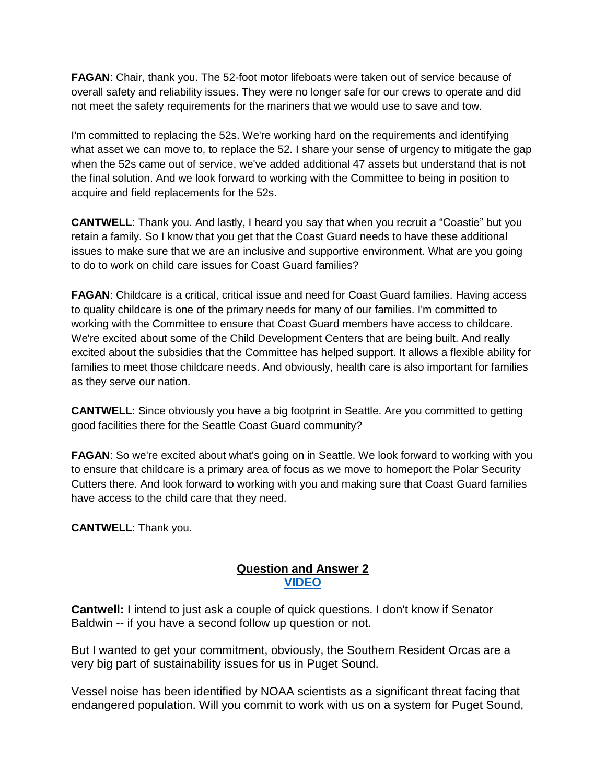**FAGAN**: Chair, thank you. The 52-foot motor lifeboats were taken out of service because of overall safety and reliability issues. They were no longer safe for our crews to operate and did not meet the safety requirements for the mariners that we would use to save and tow.

I'm committed to replacing the 52s. We're working hard on the requirements and identifying what asset we can move to, to replace the 52. I share your sense of urgency to mitigate the gap when the 52s came out of service, we've added additional 47 assets but understand that is not the final solution. And we look forward to working with the Committee to being in position to acquire and field replacements for the 52s.

**CANTWELL**: Thank you. And lastly, I heard you say that when you recruit a "Coastie" but you retain a family. So I know that you get that the Coast Guard needs to have these additional issues to make sure that we are an inclusive and supportive environment. What are you going to do to work on child care issues for Coast Guard families?

**FAGAN**: Childcare is a critical, critical issue and need for Coast Guard families. Having access to quality childcare is one of the primary needs for many of our families. I'm committed to working with the Committee to ensure that Coast Guard members have access to childcare. We're excited about some of the Child Development Centers that are being built. And really excited about the subsidies that the Committee has helped support. It allows a flexible ability for families to meet those childcare needs. And obviously, health care is also important for families as they serve our nation.

**CANTWELL**: Since obviously you have a big footprint in Seattle. Are you committed to getting good facilities there for the Seattle Coast Guard community?

**FAGAN:** So we're excited about what's going on in Seattle. We look forward to working with you to ensure that childcare is a primary area of focus as we move to homeport the Polar Security Cutters there. And look forward to working with you and making sure that Coast Guard families have access to the child care that they need.

**CANTWELL**: Thank you.

### **Question and Answer 2 [VIDEO](https://www.cantwell.senate.gov/download/04282022-commerce-closing-q)**

**Cantwell:** I intend to just ask a couple of quick questions. I don't know if Senator Baldwin -- if you have a second follow up question or not.

But I wanted to get your commitment, obviously, the Southern Resident Orcas are a very big part of sustainability issues for us in Puget Sound.

Vessel noise has been identified by NOAA scientists as a significant threat facing that endangered population. Will you commit to work with us on a system for Puget Sound,